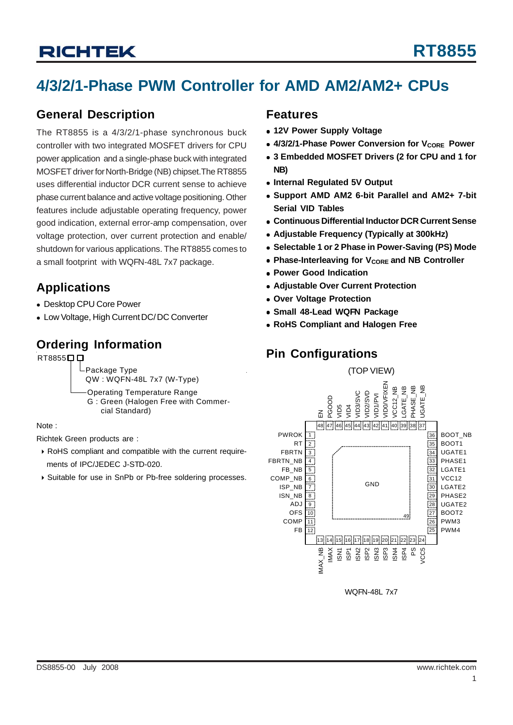## **4/3/2/1-Phase PWM Controller for AMD AM2/AM2+ CPUs**

### **General Description**

The RT8855 is a 4/3/2/1-phase synchronous buck controller with two integrated MOSFET drivers for CPU power application and a single-phase buck with integrated MOSFET driver for North-Bridge (NB) chipset.The RT8855 uses differential inductor DCR current sense to achieve phase current balance and active voltage positioning. Other features include adjustable operating frequency, power good indication, external error-amp compensation, over voltage protection, over current protection and enable/ shutdown for various applications. The RT8855 comes to a small footprint with WQFN-48L 7x7 package.

### **Applications**

- Desktop CPU Core Power
- Low Voltage, High Current DC/ DC Converter

### **Ordering Information**

#### RT8855<sup>[]</sup>

Package Type QW : WQFN-48L 7x7 (W-Type)

Operating Temperature Range G : Green (Halogen Free with Commer cial Standard)

Note :

Richtek Green products are :

- ` RoHS compliant and compatible with the current require ments of IPC/JEDEC J-STD-020.
- ` Suitable for use in SnPb or Pb-free soldering processes.

#### **Features**

- **12V Power Supply Voltage**
- 4/3/2/1-Phase Power Conversion for V<sub>CORE</sub> Power
- 3 Embedded MOSFET Drivers (2 for CPU and 1 for **NB)**
- **Internal Regulated 5V Output**
- <sup>z</sup> **Support AMD AM2 6-bit Parallel and AM2+ 7-bit Serial VID Tables**
- <sup>z</sup> **Continuous Differential Inductor DCR Current Sense**
- **Adjustable Frequency (Typically at 300kHz)**
- **Selectable 1 or 2 Phase in Power-Saving (PS) Mode**
- **Phase-Interleaving for V<sub>CORE</sub> and NB Controller**
- **Power Good Indication**
- **Adiustable Over Current Protection**
- <sup>z</sup> **Over Voltage Protection**
- <sup>z</sup> **Small 48-Lead WQFN Package**
- **RoHS Compliant and Halogen Free**

## **Pin Configurations**



WQFN-48L 7x7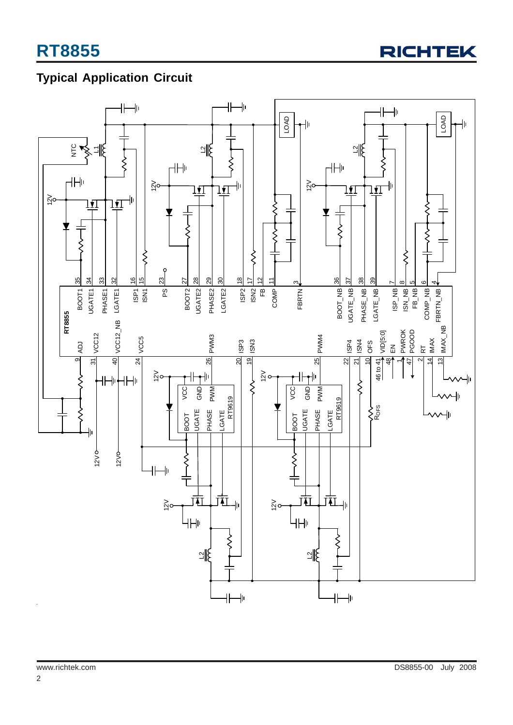

## **Typical Application Circuit**

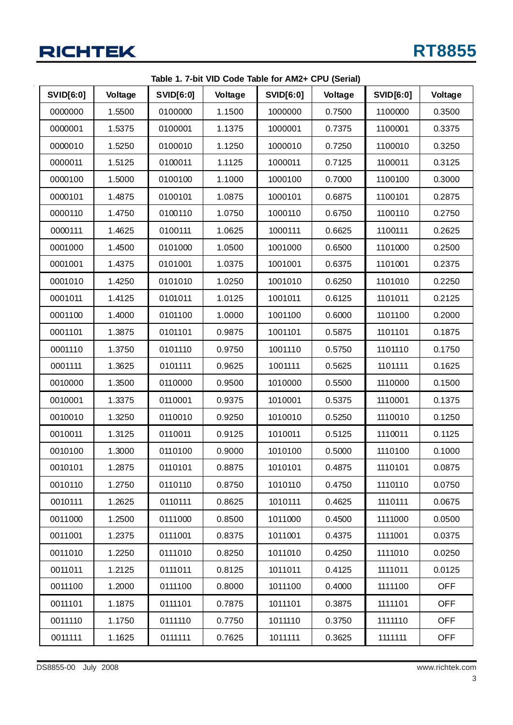|                  |         |                  |         | Table 1. 7-bit VID Code Table for AM2+ CPU (Serial) |         |                  |            |
|------------------|---------|------------------|---------|-----------------------------------------------------|---------|------------------|------------|
| <b>SVID[6:0]</b> | Voltage | <b>SVID[6:0]</b> | Voltage | <b>SVID[6:0]</b>                                    | Voltage | <b>SVID[6:0]</b> | Voltage    |
| 0000000          | 1.5500  | 0100000          | 1.1500  | 1000000                                             | 0.7500  | 1100000          | 0.3500     |
| 0000001          | 1.5375  | 0100001          | 1.1375  | 1000001                                             | 0.7375  | 1100001          | 0.3375     |
| 0000010          | 1.5250  | 0100010          | 1.1250  | 1000010                                             | 0.7250  | 1100010          | 0.3250     |
| 0000011          | 1.5125  | 0100011          | 1.1125  | 1000011                                             | 0.7125  | 1100011          | 0.3125     |
| 0000100          | 1.5000  | 0100100          | 1.1000  | 1000100                                             | 0.7000  | 1100100          | 0.3000     |
| 0000101          | 1.4875  | 0100101          | 1.0875  | 1000101                                             | 0.6875  | 1100101          | 0.2875     |
| 0000110          | 1.4750  | 0100110          | 1.0750  | 1000110                                             | 0.6750  | 1100110          | 0.2750     |
| 0000111          | 1.4625  | 0100111          | 1.0625  | 1000111                                             | 0.6625  | 1100111          | 0.2625     |
| 0001000          | 1.4500  | 0101000          | 1.0500  | 1001000                                             | 0.6500  | 1101000          | 0.2500     |
| 0001001          | 1.4375  | 0101001          | 1.0375  | 1001001                                             | 0.6375  | 1101001          | 0.2375     |
| 0001010          | 1.4250  | 0101010          | 1.0250  | 1001010                                             | 0.6250  | 1101010          | 0.2250     |
| 0001011          | 1.4125  | 0101011          | 1.0125  | 1001011                                             | 0.6125  | 1101011          | 0.2125     |
| 0001100          | 1.4000  | 0101100          | 1.0000  | 1001100                                             | 0.6000  | 1101100          | 0.2000     |
| 0001101          | 1.3875  | 0101101          | 0.9875  | 1001101                                             | 0.5875  | 1101101          | 0.1875     |
| 0001110          | 1.3750  | 0101110          | 0.9750  | 1001110                                             | 0.5750  | 1101110          | 0.1750     |
| 0001111          | 1.3625  | 0101111          | 0.9625  | 1001111                                             | 0.5625  | 1101111          | 0.1625     |
| 0010000          | 1.3500  | 0110000          | 0.9500  | 1010000                                             | 0.5500  | 1110000          | 0.1500     |
| 0010001          | 1.3375  | 0110001          | 0.9375  | 1010001                                             | 0.5375  | 1110001          | 0.1375     |
| 0010010          | 1.3250  | 0110010          | 0.9250  | 1010010                                             | 0.5250  | 1110010          | 0.1250     |
| 0010011          | 1.3125  | 0110011          | 0.9125  | 1010011                                             | 0.5125  | 1110011          | 0.1125     |
| 0010100          | 1.3000  | 0110100          | 0.9000  | 1010100                                             | 0.5000  | 1110100          | 0.1000     |
| 0010101          | 1.2875  | 0110101          | 0.8875  | 1010101                                             | 0.4875  | 1110101          | 0.0875     |
| 0010110          | 1.2750  | 0110110          | 0.8750  | 1010110                                             | 0.4750  | 1110110          | 0.0750     |
| 0010111          | 1.2625  | 0110111          | 0.8625  | 1010111                                             | 0.4625  | 1110111          | 0.0675     |
| 0011000          | 1.2500  | 0111000          | 0.8500  | 1011000                                             | 0.4500  | 1111000          | 0.0500     |
| 0011001          | 1.2375  | 0111001          | 0.8375  | 1011001                                             | 0.4375  | 1111001          | 0.0375     |
| 0011010          | 1.2250  | 0111010          | 0.8250  | 1011010                                             | 0.4250  | 1111010          | 0.0250     |
| 0011011          | 1.2125  | 0111011          | 0.8125  | 1011011                                             | 0.4125  | 1111011          | 0.0125     |
| 0011100          | 1.2000  | 0111100          | 0.8000  | 1011100                                             | 0.4000  | 1111100          | <b>OFF</b> |
| 0011101          | 1.1875  | 0111101          | 0.7875  | 1011101                                             | 0.3875  | 1111101          | <b>OFF</b> |
| 0011110          | 1.1750  | 0111110          | 0.7750  | 1011110                                             | 0.3750  | 1111110          | <b>OFF</b> |
| 0011111          | 1.1625  | 0111111          | 0.7625  | 1011111                                             | 0.3625  | 1111111          | <b>OFF</b> |

**Table 1. 7-bit VID Code Table for AM2+ CPU (Serial)**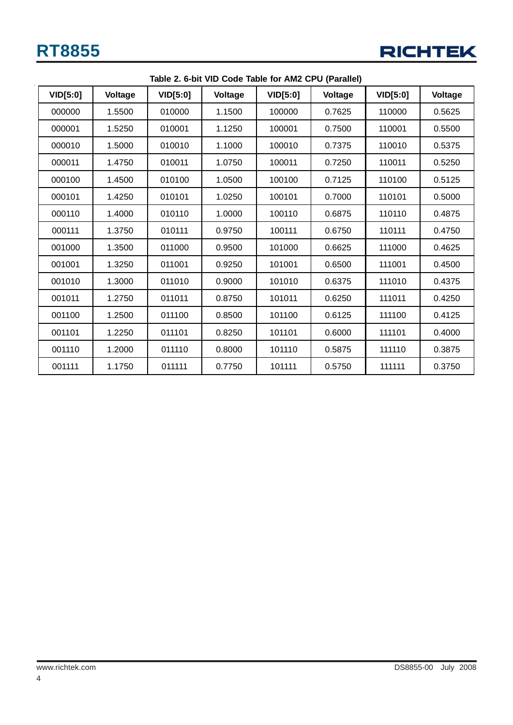

| Table 2. 6-bit VID Code Table for AMZ CPU (Paraliei) |         |                 |         |                 |         |                 |         |  |
|------------------------------------------------------|---------|-----------------|---------|-----------------|---------|-----------------|---------|--|
| VID[5:0]                                             | Voltage | <b>VID[5:0]</b> | Voltage | <b>VID[5:0]</b> | Voltage | <b>VID[5:0]</b> | Voltage |  |
| 000000                                               | 1.5500  | 010000          | 1.1500  | 100000          | 0.7625  | 110000          | 0.5625  |  |
| 000001                                               | 1.5250  | 010001          | 1.1250  | 100001          | 0.7500  | 110001          | 0.5500  |  |
| 000010                                               | 1.5000  | 010010          | 1.1000  | 100010          | 0.7375  | 110010          | 0.5375  |  |
| 000011                                               | 1.4750  | 010011          | 1.0750  | 100011          | 0.7250  | 110011          | 0.5250  |  |
| 000100                                               | 1.4500  | 010100          | 1.0500  | 100100          | 0.7125  | 110100          | 0.5125  |  |
| 000101                                               | 1.4250  | 010101          | 1.0250  | 100101          | 0.7000  | 110101          | 0.5000  |  |
| 000110                                               | 1.4000  | 010110          | 1.0000  | 100110          | 0.6875  | 110110          | 0.4875  |  |
| 000111                                               | 1.3750  | 010111          | 0.9750  | 100111          | 0.6750  | 110111          | 0.4750  |  |
| 001000                                               | 1.3500  | 011000          | 0.9500  | 101000          | 0.6625  | 111000          | 0.4625  |  |
| 001001                                               | 1.3250  | 011001          | 0.9250  | 101001          | 0.6500  | 111001          | 0.4500  |  |
| 001010                                               | 1.3000  | 011010          | 0.9000  | 101010          | 0.6375  | 111010          | 0.4375  |  |
| 001011                                               | 1.2750  | 011011          | 0.8750  | 101011          | 0.6250  | 111011          | 0.4250  |  |
| 001100                                               | 1.2500  | 011100          | 0.8500  | 101100          | 0.6125  | 111100          | 0.4125  |  |
| 001101                                               | 1.2250  | 011101          | 0.8250  | 101101          | 0.6000  | 111101          | 0.4000  |  |
| 001110                                               | 1.2000  | 011110          | 0.8000  | 101110          | 0.5875  | 111110          | 0.3875  |  |
| 001111                                               | 1.1750  | 011111          | 0.7750  | 101111          | 0.5750  | 111111          | 0.3750  |  |

**Table 2. 6-bit VID Code Table for AM2 CPU (Parallel)**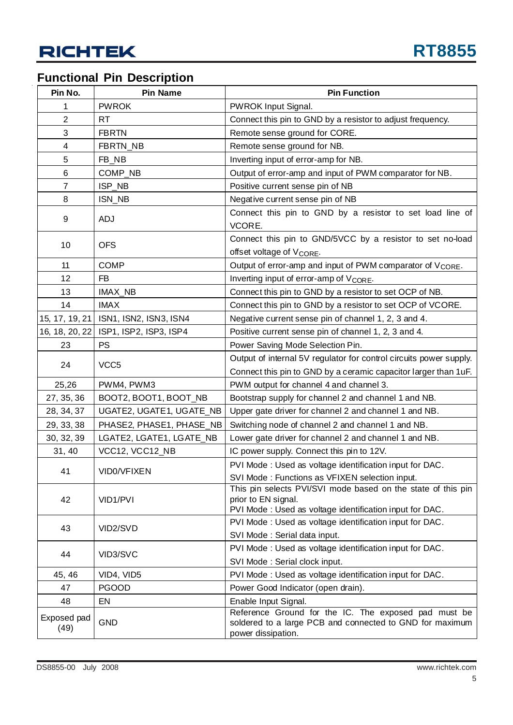## **Functional Pin Description**

| Pin No.             | <b>Pin Name</b>          | <b>Pin Function</b>                                                                                                                             |
|---------------------|--------------------------|-------------------------------------------------------------------------------------------------------------------------------------------------|
| 1                   | <b>PWROK</b>             | PWROK Input Signal.                                                                                                                             |
| $\overline{2}$      | RT.                      | Connect this pin to GND by a resistor to adjust frequency.                                                                                      |
| 3                   | <b>FBRTN</b>             | Remote sense ground for CORE.                                                                                                                   |
| 4                   | FBRTN_NB                 | Remote sense ground for NB.                                                                                                                     |
| 5                   | FB_NB                    | Inverting input of error-amp for NB.                                                                                                            |
| 6                   | COMP_NB                  | Output of error-amp and input of PWM comparator for NB.                                                                                         |
| $\overline{7}$      | ISP_NB                   | Positive current sense pin of NB                                                                                                                |
| 8                   | ISN_NB                   | Negative current sense pin of NB                                                                                                                |
| 9                   | <b>ADJ</b>               | Connect this pin to GND by a resistor to set load line of<br>VCORE.                                                                             |
| 10                  | <b>OFS</b>               | Connect this pin to GND/5VCC by a resistor to set no-load<br>offset voltage of V <sub>CORE</sub> .                                              |
| 11                  | <b>COMP</b>              | Output of error-amp and input of PWM comparator of V <sub>CORE</sub> .                                                                          |
| 12                  | FB                       | Inverting input of error-amp of V <sub>CORE</sub> .                                                                                             |
| 13                  | IMAX_NB                  | Connect this pin to GND by a resistor to set OCP of NB.                                                                                         |
| 14                  | <b>IMAX</b>              | Connect this pin to GND by a resistor to set OCP of VCORE.                                                                                      |
| 15, 17, 19, 21      | ISN1, ISN2, ISN3, ISN4   | Negative current sense pin of channel 1, 2, 3 and 4.                                                                                            |
| 16, 18, 20, 22      | ISP1, ISP2, ISP3, ISP4   | Positive current sense pin of channel 1, 2, 3 and 4.                                                                                            |
| 23                  | <b>PS</b>                | Power Saving Mode Selection Pin.                                                                                                                |
|                     |                          | Output of internal 5V regulator for control circuits power supply.                                                                              |
| 24                  | VCC <sub>5</sub>         | Connect this pin to GND by a ceramic capacitor larger than 1uF.                                                                                 |
| 25,26               | PWM4, PWM3               | PWM output for channel 4 and channel 3.                                                                                                         |
| 27, 35, 36          | BOOT2, BOOT1, BOOT_NB    | Bootstrap supply for channel 2 and channel 1 and NB.                                                                                            |
| 28, 34, 37          | UGATE2, UGATE1, UGATE_NB | Upper gate driver for channel 2 and channel 1 and NB.                                                                                           |
| 29, 33, 38          | PHASE2, PHASE1, PHASE_NB | Switching node of channel 2 and channel 1 and NB.                                                                                               |
| 30, 32, 39          | LGATE2, LGATE1, LGATE_NB | Lower gate driver for channel 2 and channel 1 and NB.                                                                                           |
| 31, 40              | VCC12, VCC12_NB          | IC power supply. Connect this pin to 12V.                                                                                                       |
|                     |                          | PVI Mode : Used as voltage identification input for DAC.                                                                                        |
| 41                  | VID0/VFIXEN              | SVI Mode: Functions as VFIXEN selection input.                                                                                                  |
| 42                  | VID1/PVI                 | This pin selects PVI/SVI mode based on the state of this pin<br>prior to EN signal.<br>PVI Mode : Used as voltage identification input for DAC. |
|                     |                          | PVI Mode : Used as voltage identification input for DAC.                                                                                        |
| 43                  | VID2/SVD                 | SVI Mode: Serial data input.                                                                                                                    |
|                     |                          | PVI Mode: Used as voltage identification input for DAC.                                                                                         |
| 44                  | VID3/SVC                 | SVI Mode: Serial clock input.                                                                                                                   |
| 45, 46              | VID4, VID5               | PVI Mode : Used as voltage identification input for DAC.                                                                                        |
| 47                  | <b>PGOOD</b>             | Power Good Indicator (open drain).                                                                                                              |
| 48                  | EN                       | Enable Input Signal.                                                                                                                            |
| Exposed pad<br>(49) | <b>GND</b>               | Reference Ground for the IC. The exposed pad must be<br>soldered to a large PCB and connected to GND for maximum<br>power dissipation.          |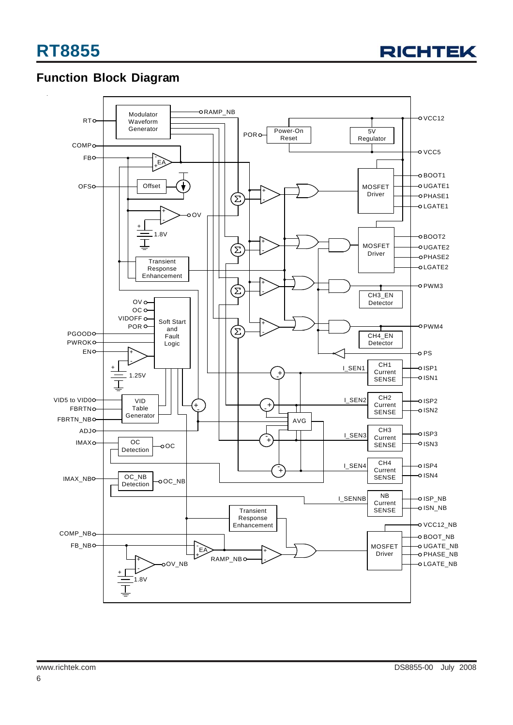

### **Function Block Diagram**

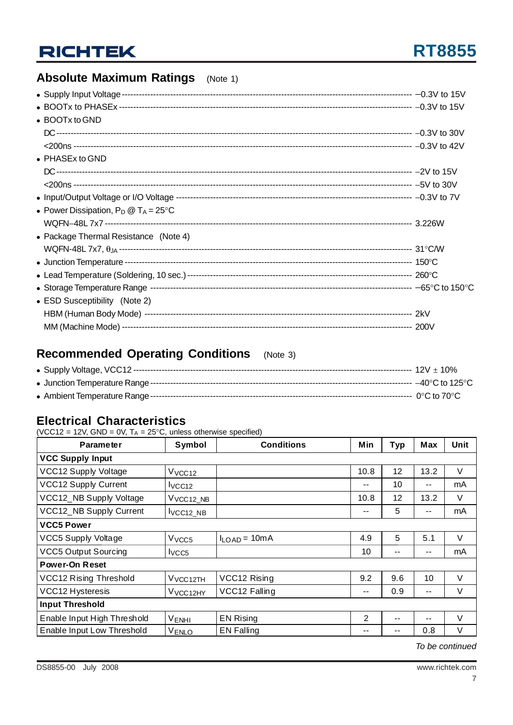# **RT8855**

## **Absolute Maximum Ratings** (Note 1)

| • BOOTx to GND                                 |  |
|------------------------------------------------|--|
|                                                |  |
|                                                |  |
| $\bullet$ PHASEx to GND                        |  |
|                                                |  |
|                                                |  |
|                                                |  |
| • Power Dissipation, $P_D @ T_A = 25^{\circ}C$ |  |
|                                                |  |
| • Package Thermal Resistance (Note 4)          |  |
|                                                |  |
|                                                |  |
|                                                |  |
|                                                |  |
| • ESD Susceptibility (Note 2)                  |  |
|                                                |  |
|                                                |  |

## **Recommended Operating Conditions** (Note 3)

### **Electrical Characteristics**

(VCC12 = 12V, GND = 0V,  $T_A = 25^{\circ}$ C, unless otherwise specified)

| <b>Parameter</b>              | Symbol               | <b>Conditions</b> | Min  | <b>Typ</b> | <b>Max</b> | <b>Unit</b> |  |  |
|-------------------------------|----------------------|-------------------|------|------------|------------|-------------|--|--|
| <b>VCC Supply Input</b>       |                      |                   |      |            |            |             |  |  |
| VCC12 Supply Voltage          | V <sub>VCC12</sub>   |                   | 10.8 | 12         | 13.2       | $\vee$      |  |  |
| VCC12 Supply Current          | VCC12                |                   | --   | 10         | --         | mA          |  |  |
| VCC12_NB Supply Voltage       | VVCC12_NB            |                   | 10.8 | 12         | 13.2       | $\vee$      |  |  |
| VCC12_NB Supply Current       | VCC <sub>12_NB</sub> |                   | --   | 5          | $- -$      | mA          |  |  |
| <b>VCC5 Power</b>             |                      |                   |      |            |            |             |  |  |
| <b>VCC5 Supply Voltage</b>    | V <sub>VCC5</sub>    | $I_{LOAD} = 10mA$ | 4.9  | 5          | 5.1        | $\vee$      |  |  |
| <b>VCC5 Output Sourcing</b>   | I <sub>VCC5</sub>    |                   | 10   | $- -$      | $-$        | mA          |  |  |
| <b>Power-On Reset</b>         |                      |                   |      |            |            |             |  |  |
| <b>VCC12 Rising Threshold</b> | V vcc 12TH           | VCC12 Rising      | 9.2  | 9.6        | 10         | $\vee$      |  |  |
| VCC12 Hysteresis              | V <sub>VCC12HY</sub> | VCC12 Falling     | --   | 0.9        | $ -$       | V           |  |  |
| <b>Input Threshold</b>        |                      |                   |      |            |            |             |  |  |
| Enable Input High Threshold   | V <sub>ENHI</sub>    | <b>EN Rising</b>  | 2    | $- -$      | --         | $\vee$      |  |  |
| Enable Input Low Threshold    | V <sub>ENLO</sub>    | <b>EN Falling</b> | --   |            | 0.8        | $\vee$      |  |  |

*To be continued*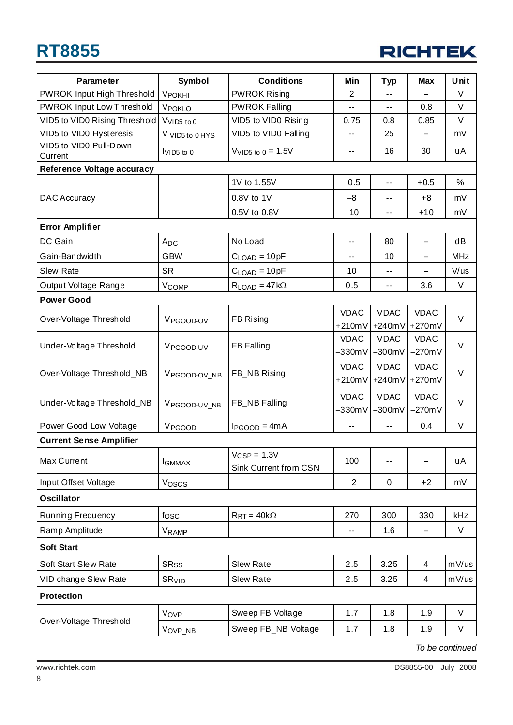# **RT8855**



| <b>Parameter</b>                  | <b>Symbol</b>             | <b>Conditions</b>                         | Min                      | <b>Typ</b>                 | <b>Max</b>               | Unit       |
|-----------------------------------|---------------------------|-------------------------------------------|--------------------------|----------------------------|--------------------------|------------|
| PWROK Input High Threshold        | <b>VPOKHI</b>             | <b>PWROK Rising</b>                       | $\mathbf{2}$             |                            |                          | V          |
| PWROK Input Low Threshold         | VPOKLO                    | <b>PWROK Falling</b>                      | $-$                      |                            | 0.8                      | V          |
| VID5 to VID0 Rising Threshold     | VVID5 to 0                | VID5 to VID0 Rising                       | 0.75                     | 0.8                        | 0.85                     | V          |
| VID5 to VID0 Hysteresis           | V VID5 to 0 HYS           | VID5 to VID0 Falling                      | --                       | 25                         |                          | mV         |
| VID5 to VID0 Pull-Down<br>Current | VID <sub>5</sub> to 0     | V <sub>VID5</sub> to $0 = 1.5V$           | ۰.                       | 16                         | 30                       | uA         |
| <b>Reference Voltage accuracy</b> |                           |                                           |                          |                            |                          |            |
|                                   |                           | 1V to 1.55V                               | $-0.5$                   | $-$                        | $+0.5$                   | $\%$       |
| <b>DAC Accuracy</b>               |                           | 0.8V to 1V                                | $-8$                     | $- -$                      | $+8$                     | mV         |
|                                   |                           | 0.5V to 0.8V                              | $-10$                    | --                         | $+10$                    | mV         |
| <b>Error Amplifier</b>            |                           |                                           |                          |                            |                          |            |
| DC Gain                           | A <sub>DC</sub>           | No Load                                   | --                       | 80                         | --                       | dB         |
| Gain-Bandwidth                    | <b>GBW</b>                | $CLOAD = 10pF$                            | --                       | 10                         | --                       | <b>MHz</b> |
| Slew Rate                         | <b>SR</b>                 | $CLOAD = 10pF$                            | 10                       | $- -$                      | --                       | V/us       |
| Output Voltage Range              | V <sub>COMP</sub>         | $R_{LOAD} = 47 k\Omega$                   | 0.5                      | $\overline{\phantom{a}}$ . | 3.6                      | V          |
| <b>Power Good</b>                 |                           |                                           |                          |                            |                          |            |
| Over-Voltage Threshold            | V <sub>PGOOD-OV</sub>     | FB Rising                                 | <b>VDAC</b>              | <b>VDAC</b>                | <b>VDAC</b>              | $\vee$     |
|                                   |                           |                                           | $+210mV$                 | $+240mV$                   | +270mV                   |            |
| Under-Voltage Threshold           | V <sub>PGOOD-UV</sub>     | FB Falling                                | <b>VDAC</b><br>$-330mV$  | <b>VDAC</b><br>$-300mV$    | <b>VDAC</b><br>$-270mV$  | $\vee$     |
|                                   |                           |                                           | <b>VDAC</b>              | <b>VDAC</b>                | <b>VDAC</b>              |            |
| Over-Voltage Threshold_NB         | V <sub>PGOOD</sub> -OV_NB | FB_NB Rising                              | $+210mV$                 | $+240mV$                   | +270mV                   | $\vee$     |
|                                   | VPGOOD-UV_NB              | FB_NB Falling                             | <b>VDAC</b>              | <b>VDAC</b>                | <b>VDAC</b>              | $\vee$     |
| Under-Voltage Threshold_NB        |                           |                                           | $-330mV$                 | $-300mV$                   | $-270mV$                 |            |
| Power Good Low Voltage            | V <sub>PGOOD</sub>        | $I_{PGOOD} = 4mA$                         | --                       | $\overline{a}$             | 0.4                      | $\vee$     |
| <b>Current Sense Amplifier</b>    |                           |                                           |                          |                            |                          |            |
| Max Current                       | <b>I</b> GMMAX            | $V_{CSP} = 1.3V$<br>Sink Current from CSN | 100                      | $-$                        | --                       | uA         |
| Input Offset Voltage              | Voscs                     |                                           | $-2$                     | $\mathsf 0$                | $+2$                     | mV         |
| <b>Oscillator</b>                 |                           |                                           |                          |                            |                          |            |
| Running Frequency                 | fosc                      | $R_{\rm RT} = 40 \text{k}\Omega$          | 270                      | 300                        | 330                      | kHz        |
| Ramp Amplitude                    | VRAMP                     |                                           | $\overline{\phantom{a}}$ | 1.6                        | $\overline{\phantom{a}}$ | $\vee$     |
| <b>Soft Start</b>                 |                           |                                           |                          |                            |                          |            |
| <b>Soft Start Slew Rate</b>       | <b>SR<sub>SS</sub></b>    | Slew Rate                                 | 2.5                      | 3.25                       | 4                        | mV/us      |
| VID change Slew Rate              | SR <sub>VID</sub>         | Slew Rate                                 | 2.5                      | 3.25                       | 4                        | mV/us      |
| <b>Protection</b>                 |                           |                                           |                          |                            |                          |            |
|                                   | VOVP                      | Sweep FB Voltage                          | 1.7                      | 1.8                        | 1.9                      | $\vee$     |
| Over-Voltage Threshold            | Vovp_nb                   | Sweep FB_NB Voltage                       | 1.7                      | 1.8                        | 1.9                      | V          |

*To be continued*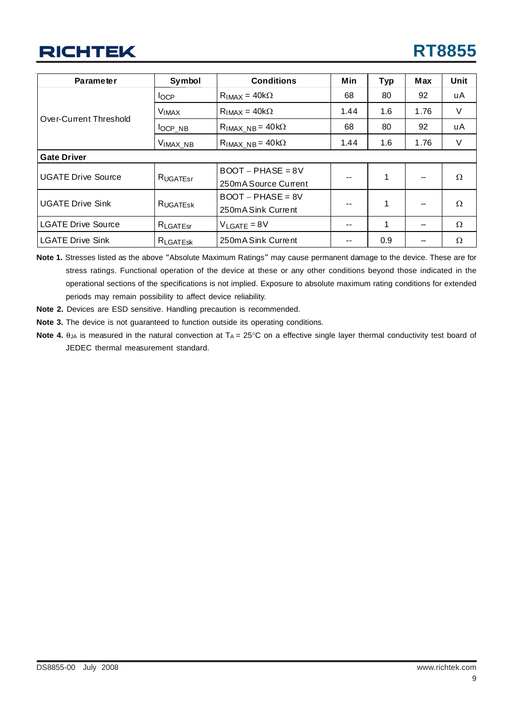| <b>Parameter</b>          | Symbol               | <b>Conditions</b>        | Min  | <b>Typ</b> | <b>Max</b> | Unit |
|---------------------------|----------------------|--------------------------|------|------------|------------|------|
|                           | $I_{OCP}$            | $R_{IMAX} = 40k\Omega$   | 68   | 80         | 92         | uA   |
| Over-Current Threshold    | <b>VIMAX</b>         | $RIMAX = 40k\Omega$      | 1.44 | 1.6        | 1.76       | V    |
|                           | l <sub>OCP_NB</sub>  | $RIMAX_{NB} = 40k\Omega$ | 68   | 80         | 92         | uA   |
|                           | V <sub>IMAX_NB</sub> | $RIMAX_{NB} = 40k\Omega$ | 1.44 | 1.6        | 1.76       | V    |
| <b>Gate Driver</b>        |                      |                          |      |            |            |      |
| <b>UGATE Drive Source</b> | RUGATEST             | $BOOT - PHASE = 8V$      |      | 1          |            | Ω    |
|                           |                      | 250m A Source Current    | $ -$ |            |            |      |
|                           |                      | $BOOT - PHASE = 8V$      |      |            |            |      |
| <b>UGATE Drive Sink</b>   | <b>RUGATESK</b>      | 250mA Sink Current       |      | 1          |            | Ω    |
| <b>LGATE Drive Source</b> | $R_{\text{LGATEsr}}$ | $V_{LGATE} = 8V$         |      | 1          |            | Ω    |
| <b>LGATE Drive Sink</b>   | R <sub>LGATESK</sub> | 250mA Sink Current       |      | 0.9        |            | Ω    |

**Note 1.** Stresses listed as the above "Absolute Maximum Ratings" may cause permanent damage to the device. These are for stress ratings. Functional operation of the device at these or any other conditions beyond those indicated in the operational sections of the specifications is not implied. Exposure to absolute maximum rating conditions for extended periods may remain possibility to affect device reliability.

- **Note 2.** Devices are ESD sensitive. Handling precaution is recommended.
- **Note 3.** The device is not guaranteed to function outside its operating conditions.
- Note 4.  $θ<sub>JA</sub>$  is measured in the natural convection at T<sub>A</sub> = 25°C on a effective single layer thermal conductivity test board of JEDEC thermal measurement standard.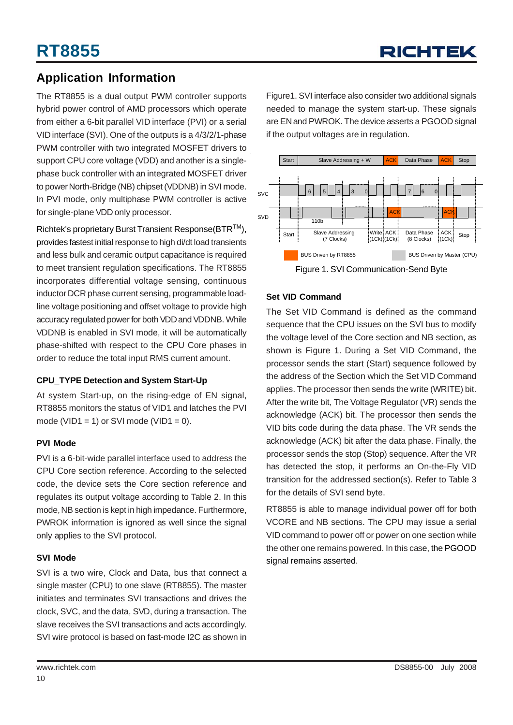### **Application Information**

The RT8855 is a dual output PWM controller supports hybrid power control of AMD processors which operate from either a 6-bit parallel VID interface (PVI) or a serial VID interface (SVI). One of the outputs is a 4/3/2/1-phase PWM controller with two integrated MOSFET drivers to support CPU core voltage (VDD) and another is a singlephase buck controller with an integrated MOSFET driver to power North-Bridge (NB) chipset (VDDNB) in SVI mode. In PVI mode, only multiphase PWM controller is active for single-plane VDD only processor.

Richtek's proprietary Burst Transient Response(BTRTM), provides fastest initial response to high di/dt load transients and less bulk and ceramic output capacitance is required to meet transient regulation specifications. The RT8855 incorporates differential voltage sensing, continuous inductor DCR phase current sensing, programmable loadline voltage positioning and offset voltage to provide high accuracy regulated power for both VDD and VDDNB. While VDDNB is enabled in SVI mode, it will be automatically phase-shifted with respect to the CPU Core phases in order to reduce the total input RMS current amount.

#### **CPU\_TYPE Detection and System Start-Up**

At system Start-up, on the rising-edge of EN signal, RT8855 monitors the status of VID1 and latches the PVI mode (VID1 = 1) or SVI mode (VID1 = 0).

#### **PVI Mode**

PVI is a 6-bit-wide parallel interface used to address the CPU Core section reference. According to the selected code, the device sets the Core section reference and regulates its output voltage according to Table 2. In this mode, NB section is kept in high impedance. Furthermore, PWROK information is ignored as well since the signal only applies to the SVI protocol.

#### **SVI Mode**

SVI is a two wire, Clock and Data, bus that connect a single master (CPU) to one slave (RT8855). The master initiates and terminates SVI transactions and drives the clock, SVC, and the data, SVD, during a transaction. The slave receives the SVI transactions and acts accordingly. SVI wire protocol is based on fast-mode I2C as shown in Figure1. SVI interface also consider two additional signals needed to manage the system start-up. These signals are EN and PWROK. The device asserts a PGOOD signal if the output voltages are in regulation.



#### **Set VID Command**

The Set VID Command is defined as the command sequence that the CPU issues on the SVI bus to modify the voltage level of the Core section and NB section, as shown is Figure 1. During a Set VID Command, the processor sends the start (Start) sequence followed by the address of the Section which the Set VID Command applies. The processor then sends the write (WRITE) bit. After the write bit, The Voltage Regulator (VR) sends the acknowledge (ACK) bit. The processor then sends the VID bits code during the data phase. The VR sends the acknowledge (ACK) bit after the data phase. Finally, the processor sends the stop (Stop) sequence. After the VR has detected the stop, it performs an On-the-Fly VID transition for the addressed section(s). Refer to Table 3 for the details of SVI send byte.

RT8855 is able to manage individual power off for both VCORE and NB sections. The CPU may issue a serial VID command to power off or power on one section while the other one remains powered. In this case, the PGOOD signal remains asserted.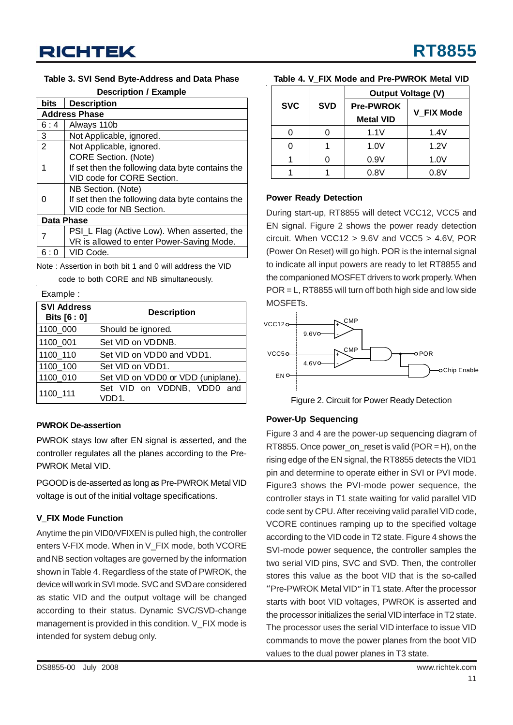#### **Table 3. SVI Send Byte-Address and Data Phase**

| <b>Description / Example</b> |  |
|------------------------------|--|
|------------------------------|--|

| <b>bits</b>    | <b>Description</b>                               |  |  |  |  |  |
|----------------|--------------------------------------------------|--|--|--|--|--|
|                | <b>Address Phase</b>                             |  |  |  |  |  |
| 6:4            | Always 110b                                      |  |  |  |  |  |
| 3              | Not Applicable, ignored.                         |  |  |  |  |  |
| $\overline{2}$ | Not Applicable, ignored.                         |  |  |  |  |  |
|                | <b>CORE Section.</b> (Note)                      |  |  |  |  |  |
|                | If set then the following data byte contains the |  |  |  |  |  |
|                | VID code for CORE Section.                       |  |  |  |  |  |
|                | NB Section. (Note)                               |  |  |  |  |  |
| O              | If set then the following data byte contains the |  |  |  |  |  |
|                | VID code for NB Section.                         |  |  |  |  |  |
|                | Data Phase                                       |  |  |  |  |  |
| 7              | PSI_L Flag (Active Low). When asserted, the      |  |  |  |  |  |
|                | VR is allowed to enter Power-Saving Mode.        |  |  |  |  |  |
| 6              | VID Code.                                        |  |  |  |  |  |

Note : Assertion in both bit 1 and 0 will address the VID code to both CORE and NB simultaneously.

Example :

| <b>SVI Address</b><br>Bits [6 : 0] | <b>Description</b>                  |  |  |  |  |
|------------------------------------|-------------------------------------|--|--|--|--|
| 1100 000                           | Should be ignored.                  |  |  |  |  |
| 1100 001                           | Set VID on VDDNB.                   |  |  |  |  |
| 1100 110                           | Set VID on VDD0 and VDD1.           |  |  |  |  |
| 1100 100                           | Set VID on VDD1.                    |  |  |  |  |
| 1100_010                           | Set VID on VDD0 or VDD (uniplane).  |  |  |  |  |
| 1100 111                           | Set VID on VDDNB, VDD0 and<br>VDD1. |  |  |  |  |

#### **PWROK De-assertion**

PWROK stays low after EN signal is asserted, and the controller regulates all the planes according to the Pre-PWROK Metal VID.

PGOOD is de-asserted as long as Pre-PWROK Metal VID voltage is out of the initial voltage specifications.

#### **V\_FIX Mode Function**

Anytime the pin VID0/VFIXEN is pulled high, the controller enters V-FIX mode. When in V\_FIX mode, both VCORE and NB section voltages are governed by the information shown in Table 4. Regardless of the state of PWROK, the device will work in SVI mode. SVC and SVD are considered as static VID and the output voltage will be changed according to their status. Dynamic SVC/SVD-change management is provided in this condition. V\_FIX mode is intended for system debug only.

|  |  | Table 4. V FIX Mode and Pre-PWROK Metal VID |  |
|--|--|---------------------------------------------|--|
|--|--|---------------------------------------------|--|

|            | <b>SVD</b> | <b>Output Voltage (V)</b> |                   |  |
|------------|------------|---------------------------|-------------------|--|
| <b>SVC</b> |            | <b>Pre-PWROK</b>          | <b>V FIX Mode</b> |  |
|            |            | <b>Metal VID</b>          |                   |  |
|            |            | 1.1V                      | 1.4V              |  |
|            |            | 1.0V                      | 1.2V              |  |
|            |            | 0.9V                      | 1.0V              |  |
|            |            | 0.8V                      | 0.8V              |  |

#### **Power Ready Detection**

During start-up, RT8855 will detect VCC12, VCC5 and EN signal. Figure 2 shows the power ready detection circuit. When VCC12 > 9.6V and VCC5 > 4.6V, POR (Power On Reset) will go high. POR is the internal signal to indicate all input powers are ready to let RT8855 and the companioned MOSFET drivers to work properly. When POR = L, RT8855 will turn off both high side and low side MOSFETs.



Figure 2. Circuit for Power Ready Detection

#### **Power-Up Sequencing**

Figure 3 and 4 are the power-up sequencing diagram of RT8855. Once power\_on\_reset is valid (POR = H), on the rising edge of the EN signal, the RT8855 detects the VID1 pin and determine to operate either in SVI or PVI mode. Figure3 shows the PVI-mode power sequence, the controller stays in T1 state waiting for valid parallel VID code sent by CPU. After receiving valid parallel VID code, VCORE continues ramping up to the specified voltage according to the VID code in T2 state. Figure 4 shows the SVI-mode power sequence, the controller samples the two serial VID pins, SVC and SVD. Then, the controller stores this value as the boot VID that is the so-called "Pre-PWROK Metal VID" in T1 state. After the processor starts with boot VID voltages, PWROK is asserted and the processor initializes the serial VID interface in T2 state. The processor uses the serial VID interface to issue VID commands to move the power planes from the boot VID values to the dual power planes in T3 state.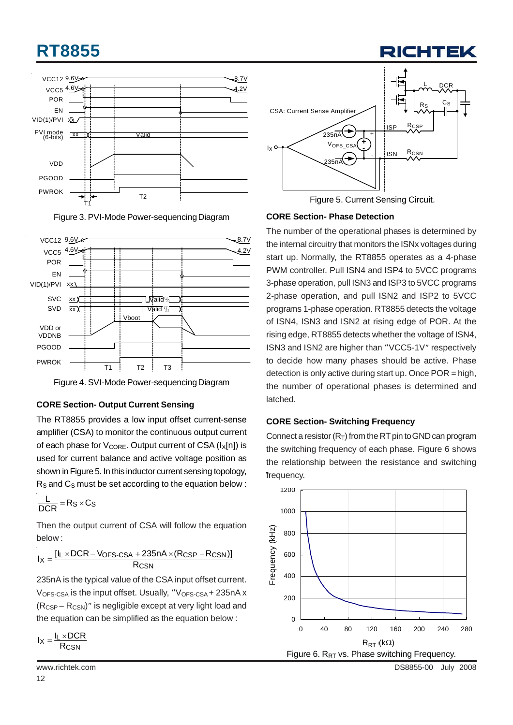# **RT8855**







Figure 4. SVI-Mode Power-sequencing Diagram

#### **CORE Section- Output Current Sensing**

The RT8855 provides a low input offset current-sense amplifier (CSA) to monitor the continuous output current of each phase for  $V_{\text{CORE}}$ . Output current of CSA ( $I_X[n]$ ) is used for current balance and active voltage position as shown in Figure 5. In this inductor current sensing topology,  $R<sub>S</sub>$  and  $C<sub>S</sub>$  must be set according to the equation below :

$$
\frac{L}{DCR} = Rs \times Cs
$$

Then the output current of CSA will follow the equation below :

 $I_X = \frac{[I_L \times DCR - V_{OFS\text{-CSA}} + 235nA \times (R_{CSP} - R_{CSN})]}{R_{CSN}}$ 

235nA is the typical value of the CSA input offset current.  $V_{OFS-CSA}$  is the input offset. Usually, " $V_{OFS-CSA}$  + 235nA x  $(R_{CSP} - R_{CSN})$ " is negligible except at very light load and the equation can be simplified as the equation below :

$$
I_X = \frac{I_L \times DCR}{R_{CSN}}
$$

12



RICHTEI

Figure 5. Current Sensing Circuit.

#### **CORE Section- Phase Detection**

The number of the operational phases is determined by the internal circuitry that monitors the ISNx voltages during start up. Normally, the RT8855 operates as a 4-phase PWM controller. Pull ISN4 and ISP4 to 5VCC programs 3-phase operation, pull ISN3 and ISP3 to 5VCC programs 2-phase operation, and pull ISN2 and ISP2 to 5VCC programs 1-phase operation. RT8855 detects the voltage of ISN4, ISN3 and ISN2 at rising edge of POR. At the rising edge, RT8855 detects whether the voltage of ISN4, ISN3 and ISN2 are higher than "VCC5-1V" respectively to decide how many phases should be active. Phase detection is only active during start up. Once POR = high, the number of operational phases is determined and latched.

#### **CORE Section- Switching Frequency**

Connect a resistor  $(R_T)$  from the RT pin to GND can program the switching frequency of each phase. Figure 6 shows the relationship between the resistance and switching frequency.

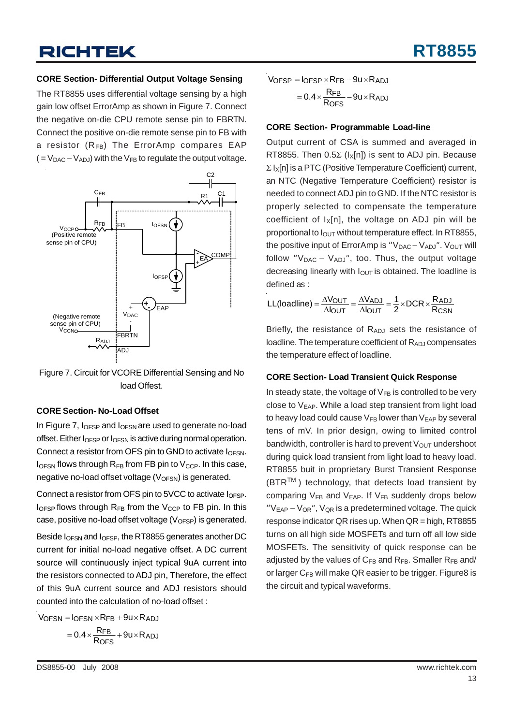#### **CORE Section- Differential Output Voltage Sensing**

The RT8855 uses differential voltage sensing by a high gain low offset ErrorAmp as shown in Figure 7. Connect the negative on-die CPU remote sense pin to FBRTN. Connect the positive on-die remote sense pin to FB with a resistor  $(R_{FB})$  The ErrorAmp compares EAP  $( = V_{\text{DAC}} - V_{\text{ADJ}})$  with the  $V_{\text{FB}}$  to regulate the output voltage.



Figure 7. Circuit for VCORE Differential Sensing and No load Offest.

#### **CORE Section- No-Load Offset**

In Figure 7,  $I_{OFSP}$  and  $I_{OFSN}$  are used to generate no-load offset. Either  $I_{\text{OFSP}}$  or  $I_{\text{OFSN}}$  is active during normal operation. Connect a resistor from OFS pin to GND to activate  $I_{\text{OFSN}}$ .  $I<sub>OFSN</sub>$  flows through  $R<sub>FB</sub>$  from FB pin to  $V<sub>CCP</sub>$ . In this case, negative no-load offset voltage  $(V_{OFSN})$  is generated.

Connect a resistor from OFS pin to 5VCC to activate  $I_{\text{OFSP}}$ .  $I_{\text{OFSP}}$  flows through  $R_{FB}$  from the  $V_{CCP}$  to FB pin. In this case, positive no-load offset voltage  $(V_{OFSP})$  is generated.

Beside IOFSN and IOFSP, the RT8855 generates another DC current for initial no-load negative offset. A DC current source will continuously inject typical 9uA current into the resistors connected to ADJ pin, Therefore, the effect of this 9uA current source and ADJ resistors should counted into the calculation of no-load offset :

VOFSN = IOFSN × RFB + 9u × RADJ  
= 
$$
0.4 \times \frac{RFB}{ROFS} + 9u \times RADJ
$$

 $V$ OFSP =  $I$ OFSP  $\times$ RFB  $-$ 9u $\times$ R $_{\rm ADJ}$  $= 0.4 \times \frac{RFB}{ROFS} - 9u \times RADJ$ 

#### **CORE Section- Programmable Load-line**

Output current of CSA is summed and averaged in RT8855. Then  $0.5\Sigma$  ( $I_X[n]$ ) is sent to ADJ pin. Because  $\Sigma$   $I_X[n]$  is a PTC (Positive Temperature Coefficient) current, an NTC (Negative Temperature Coefficient) resistor is needed to connect ADJ pin to GND. If the NTC resistor is properly selected to compensate the temperature coefficient of  $I_X[n]$ , the voltage on ADJ pin will be proportional to  $I<sub>OUT</sub>$  without temperature effect. In RT8855, the positive input of ErrorAmp is "V<sub>DAC</sub> – V<sub>ADJ</sub>". V<sub>OUT</sub> will follow " $V_{DAC} - V_{ADJ''}$ , too. Thus, the output voltage decreasing linearly with  $I<sub>OUT</sub>$  is obtained. The loadline is defined as :

$$
LL(loading) = \frac{\Delta V_{OUT}}{\Delta I_{OUT}} = \frac{\Delta V_{ADJ}}{\Delta I_{OUT}} = \frac{1}{2} \times DCR \times \frac{R_{ADJ}}{R_{CSN}}
$$

Briefly, the resistance of RADJ sets the resistance of loadline. The temperature coefficient of  $R_{ADJ}$  compensates the temperature effect of loadline.

#### **CORE Section- Load Transient Quick Response**

In steady state, the voltage of  $V_{FB}$  is controlled to be very close to  $V_{EAP}$ . While a load step transient from light load to heavy load could cause  $V_{FB}$  lower than  $V_{EAP}$  by several tens of mV. In prior design, owing to limited control bandwidth, controller is hard to prevent  $V_{OUT}$  undershoot during quick load transient from light load to heavy load. RT8855 buit in proprietary Burst Transient Response  $(BTR<sup>TM</sup>)$  technology, that detects load transient by comparing  $V_{FB}$  and  $V_{EAP}$ . If  $V_{FB}$  suddenly drops below " $V_{EAP} - V_{OR}$ ",  $V_{QR}$  is a predetermined voltage. The quick response indicator QR rises up. When QR = high, RT8855 turns on all high side MOSFETs and turn off all low side MOSFETs. The sensitivity of quick response can be adjusted by the values of  $C_{FB}$  and  $R_{FB}$ . Smaller  $R_{FB}$  and/ or larger  $C_{FB}$  will make QR easier to be trigger. Figure 8 is the circuit and typical waveforms.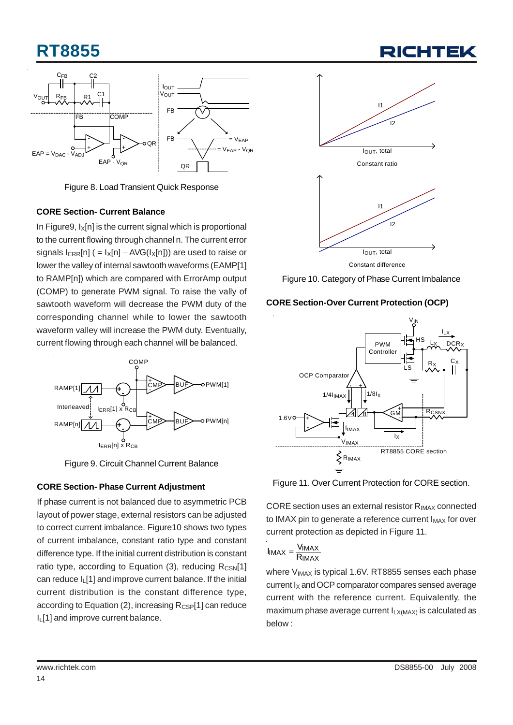# **RT8855**



Figure 8. Load Transient Quick Response

#### **CORE Section- Current Balance**

In Figure 9,  $I_x[n]$  is the current signal which is proportional to the current flowing through channel n. The current error signals  $I_{ERR}[n]$  ( =  $I_X[n]$  – AVG( $I_X[n]$ )) are used to raise or lower the valley of internal sawtooth waveforms (EAMP[1] to RAMP[n]) which are compared with ErrorAmp output (COMP) to generate PWM signal. To raise the vally of sawtooth waveform will decrease the PWM duty of the corresponding channel while to lower the sawtooth waveform valley will increase the PWM duty. Eventually, current flowing through each channel will be balanced.



Figure 9. Circuit Channel Current Balance

#### **CORE Section- Phase Current Adjustment**

If phase current is not balanced due to asymmetric PCB layout of power stage, external resistors can be adjusted to correct current imbalance. Figure10 shows two types of current imbalance, constant ratio type and constant difference type. If the initial current distribution is constant ratio type, according to Equation (3), reducing  $R_{CSN}[1]$ can reduce IL[1] and improve current balance. If the initial current distribution is the constant difference type, according to Equation (2), increasing  $R_{CSP}[1]$  can reduce I<sub>I</sub> [1] and improve current balance.



Figure 10. Category of Phase Current Imbalance





Figure 11. Over Current Protection for CORE section.

CORE section uses an external resistor RIMAX connected to IMAX pin to generate a reference current  $I_{MAX}$  for over current protection as depicted in Figure 11.

$$
I_{IMAX} = \frac{V_{IMAX}}{R_{IMAX}}
$$

where  $V_{IMAX}$  is typical 1.6V. RT8855 senses each phase current  $I_X$  and OCP comparator compares sensed average current with the reference current. Equivalently, the maximum phase average current  $I_{LX(MAX)}$  is calculated as below :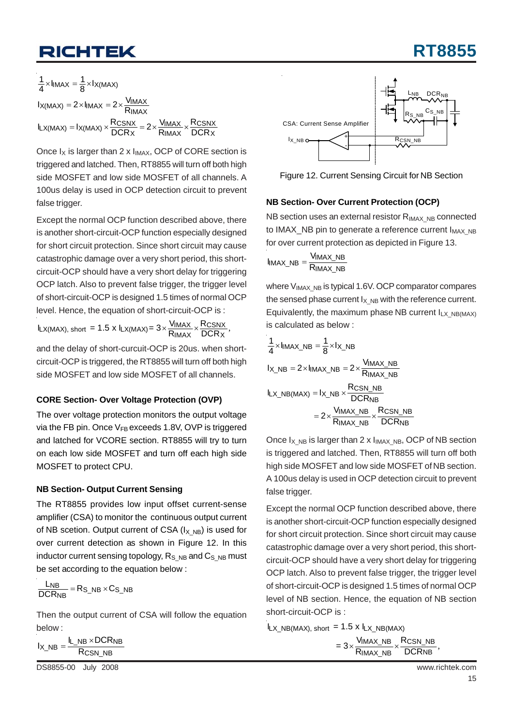# **RT8855**

 $\frac{1}{4} \times I_{\text{IMAX}} = \frac{1}{8} \times I_{\text{X}(MAX)}$  $I_{X(MAX)} = 2 \times I_{IMAX} = 2 \times \frac{V_{IMAX}}{R_{IMAX}}$  $I_{LX(MAX)} = I_{X(MAX)} \times \frac{R_{CSNX}}{DCR_X} = 2 \times \frac{V_{IMAX}}{R_{IMAX}} \times \frac{R_{CSNX}}{DCR_X}$ 

Once  $I_X$  is larger than 2 x  $I_{IMAX}$ , OCP of CORE section is triggered and latched. Then, RT8855 will turn off both high side MOSFET and low side MOSFET of all channels. A 100us delay is used in OCP detection circuit to prevent false trigger.

Except the normal OCP function described above, there is another short-circuit-OCP function especially designed for short circuit protection. Since short circuit may cause catastrophic damage over a very short period, this shortcircuit-OCP should have a very short delay for triggering OCP latch. Also to prevent false trigger, the trigger level of short-circuit-OCP is designed 1.5 times of normal OCP level. Hence, the equation of short-circuit-OCP is :

 $\textsf{I}_{\textsf{L}X(\textsf{MAX})\textsf{, short}} = 1.5 \text{ x } \textsf{I}_{\textsf{L}X(\textsf{MAX})} = 3 \times \frac{\textsf{V}_{\textsf{IMAX}}}{\textsf{R}_{\textsf{IMAX}}} \times \frac{\textsf{RCSNX}}{\textsf{DCRx}}\text{,}$ 

and the delay of short-curcuit-OCP is 20us. when shortcircuit-OCP is triggered, the RT8855 will turn off both high side MOSFET and low side MOSFET of all channels.

#### **CORE Section- Over Voltage Protection (OVP)**

The over voltage protection monitors the output voltage via the FB pin. Once  $V_{FB}$  exceeds 1.8V, OVP is triggered and latched for VCORE section. RT8855 will try to turn on each low side MOSFET and turn off each high side MOSFET to protect CPU.

#### **NB Section- Output Current Sensing**

The RT8855 provides low input offset current-sense amplifier (CSA) to monitor the continuous output current of NB scetion. Output current of CSA  $(I_X,_{NB})$  is used for over current detection as shown in Figure 12. In this inductor current sensing topology,  $R_S$ <sub>NB</sub> and  $C_S$ <sub>NB</sub> must be set according to the equation below :

$$
\frac{L_{NB}}{DCR_{NB}} = R_{S\_NB} \times C_{S\_NB}
$$

Then the output current of CSA will follow the equation below :

 $I_{X\_NB} = \frac{I_{L\_NB} \times DCR_{NB}}{R_{CSN~NB}}$  $I_{X,NB} = \frac{I_{L,NB} \wedge B}{R_{CSN} N_B}$ 

DS8855-00 July 2008 www.richtek.com



Figure 12. Current Sensing Circuit for NB Section

#### **NB Section- Over Current Protection (OCP)**

NB section uses an external resistor  $R_{IMAX-NB}$  connected to IMAX\_NB pin to generate a reference current I<sub>MAX\_NB</sub> for over current protection as depicted in Figure 13.

$$
I_{IMAX\_NB} = \frac{V_{IMAX\_NB}}{R_{IMAX\_NB}}
$$

where  $V_{IMAX}$  NB is typical 1.6V. OCP comparator compares the sensed phase current  $I_X$ <sub>NB</sub> with the reference current. Equivalently, the maximum phase NB current  $I_{LX}$  NB(MAX) is calculated as below :

$$
\frac{1}{4} \times I_{IMAX\_NB} = \frac{1}{8} \times I_{X\_NB}
$$
  
\n
$$
I_{X\_NB} = 2 \times I_{IMAX\_NB} = 2 \times \frac{V_{IMAX\_NB}}{R_{IMAX\_NB}}
$$
  
\n
$$
I_{LX\_NB(MAX)} = I_{X\_NB} \times \frac{R_{CSN\_NB}}{DCR_{NB}}
$$
  
\n
$$
= 2 \times \frac{V_{IMAX\_NB}}{R_{IMAX\_NB}} \times \frac{R_{CSN\_NB}}{DCR_{NB}}
$$

Once  $I_X$  NB is larger than 2 x  $I_{IMAX}$  NB, OCP of NB section is triggered and latched. Then, RT8855 will turn off both high side MOSFET and low side MOSFET of NB section. A 100us delay is used in OCP detection circuit to prevent false trigger.

Except the normal OCP function described above, there is another short-circuit-OCP function especially designed for short circuit protection. Since short circuit may cause catastrophic damage over a very short period, this shortcircuit-OCP should have a very short delay for triggering OCP latch. Also to prevent false trigger, the trigger level of short-circuit-OCP is designed 1.5 times of normal OCP level of NB section. Hence, the equation of NB section short-circuit-OCP is :

 $I_{LX_NBB(MAX)}$ , short = 1.5 x  $I_{LX_NBB(MAX)}$ 

, IMAX\_NB CSN\_NB  $= 3\times\frac{\mathsf{V}_{\mathsf{IMAX\_NB}}}{\mathsf{R}_{\mathsf{IMAX\_NB}}}\times\frac{\mathsf{R}_{\mathsf{CSN\_NB}}}{\mathsf{DCR}_{\mathsf{NB}}}$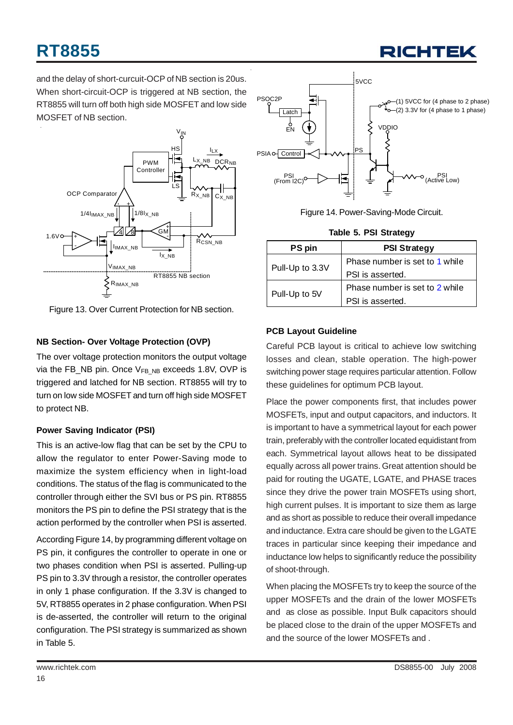

and the delay of short-curcuit-OCP of NB section is 20us. When short-circuit-OCP is triggered at NB section, the RT8855 will turn off both high side MOSFET and low side MOSFET of NB section.



Figure 13. Over Current Protection for NB section.

#### **NB Section- Over Voltage Protection (OVP)**

The over voltage protection monitors the output voltage via the FB\_NB pin. Once  $V_{FB~NB}$  exceeds 1.8V, OVP is triggered and latched for NB section. RT8855 will try to turn on low side MOSFET and turn off high side MOSFET to protect NB.

#### **Power Saving Indicator (PSI)**

This is an active-low flag that can be set by the CPU to allow the regulator to enter Power-Saving mode to maximize the system efficiency when in light-load conditions. The status of the flag is communicated to the controller through either the SVI bus or PS pin. RT8855 monitors the PS pin to define the PSI strategy that is the action performed by the controller when PSI is asserted.

According Figure 14, by programming different voltage on PS pin, it configures the controller to operate in one or two phases condition when PSI is asserted. Pulling-up PS pin to 3.3V through a resistor, the controller operates in only 1 phase configuration. If the 3.3V is changed to 5V, RT8855 operates in 2 phase configuration. When PSI is de-asserted, the controller will return to the original configuration. The PSI strategy is summarized as shown in Table 5.



Figure 14. Power-Saving-Mode Circuit.

|  | <b>Table 5. PSI Strategy</b> |
|--|------------------------------|
|  |                              |

| PS pin          | <b>PSI Strategy</b>            |  |
|-----------------|--------------------------------|--|
|                 | Phase number is set to 1 while |  |
| Pull-Up to 3.3V | PSI is asserted.               |  |
|                 | Phase number is set to 2 while |  |
| Pull-Up to 5V   | PSI is asserted.               |  |

#### **PCB Layout Guideline**

Careful PCB layout is critical to achieve low switching losses and clean, stable operation. The high-power switching power stage requires particular attention. Follow these guidelines for optimum PCB layout.

Place the power components first, that includes power MOSFETs, input and output capacitors, and inductors. It is important to have a symmetrical layout for each power train, preferably with the controller located equidistant from each. Symmetrical layout allows heat to be dissipated equally across all power trains. Great attention should be paid for routing the UGATE, LGATE, and PHASE traces since they drive the power train MOSFETs using short, high current pulses. It is important to size them as large and as short as possible to reduce their overall impedance and inductance. Extra care should be given to the LGATE traces in particular since keeping their impedance and inductance low helps to significantly reduce the possibility of shoot-through.

When placing the MOSFETs try to keep the source of the upper MOSFETs and the drain of the lower MOSFETs and as close as possible. Input Bulk capacitors should be placed close to the drain of the upper MOSFETs and and the source of the lower MOSFETs and .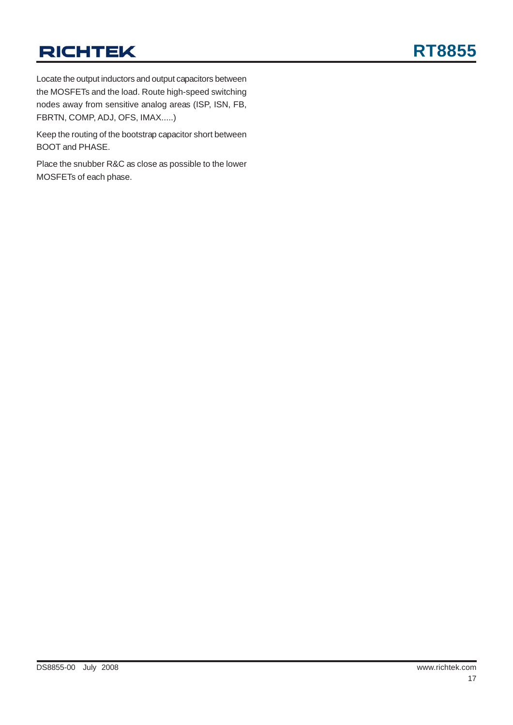Locate the output inductors and output capacitors between the MOSFETs and the load. Route high-speed switching nodes away from sensitive analog areas (ISP, ISN, FB, FBRTN, COMP, ADJ, OFS, IMAX.....)

Keep the routing of the bootstrap capacitor short between BOOT and PHASE.

Place the snubber R&C as close as possible to the lower MOSFETs of each phase.